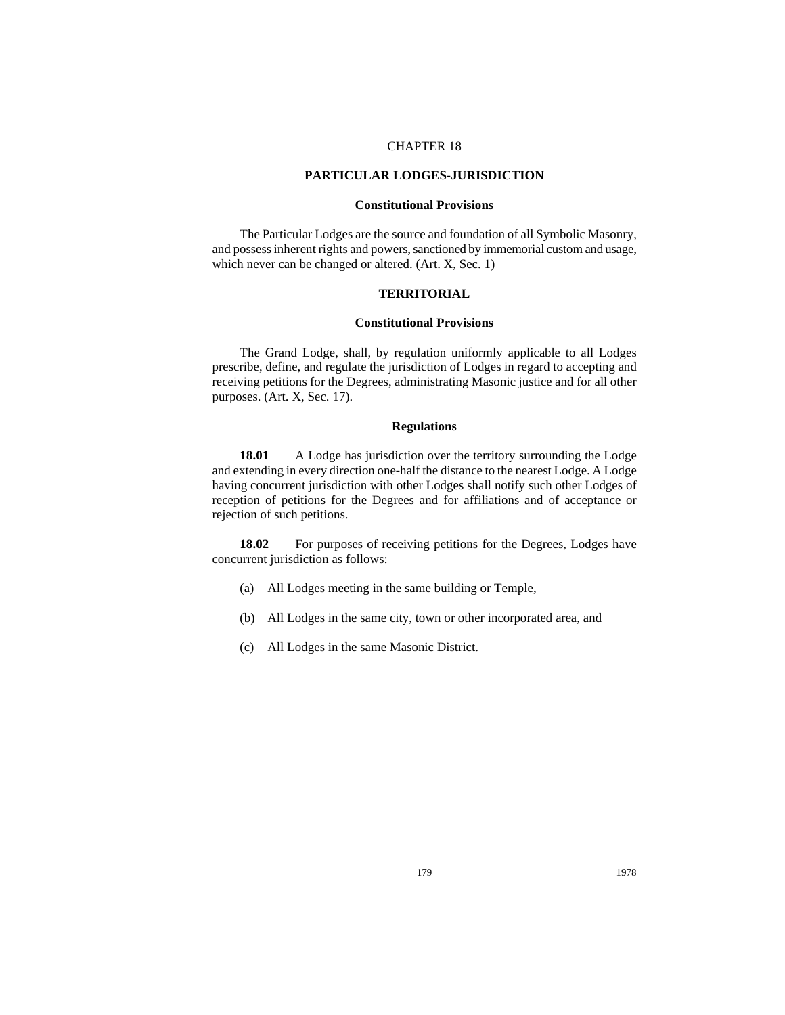# CHAPTER 18

# **PARTICULAR LODGES-JURISDICTION**

# **Constitutional Provisions**

The Particular Lodges are the source and foundation of all Symbolic Masonry, and possess inherent rights and powers, sanctioned by immemorial custom and usage, which never can be changed or altered. (Art. X, Sec. 1)

## **TERRITORIAL**

# **Constitutional Provisions**

The Grand Lodge, shall, by regulation uniformly applicable to all Lodges prescribe, define, and regulate the jurisdiction of Lodges in regard to accepting and receiving petitions for the Degrees, administrating Masonic justice and for all other purposes. (Art. X, Sec. 17).

# **Regulations**

**18.01** A Lodge has jurisdiction over the territory surrounding the Lodge and extending in every direction one-half the distance to the nearest Lodge. A Lodge having concurrent jurisdiction with other Lodges shall notify such other Lodges of reception of petitions for the Degrees and for affiliations and of acceptance or rejection of such petitions.

**18.02** For purposes of receiving petitions for the Degrees, Lodges have concurrent jurisdiction as follows:

- (a) All Lodges meeting in the same building or Temple,
- (b) All Lodges in the same city, town or other incorporated area, and
- (c) All Lodges in the same Masonic District.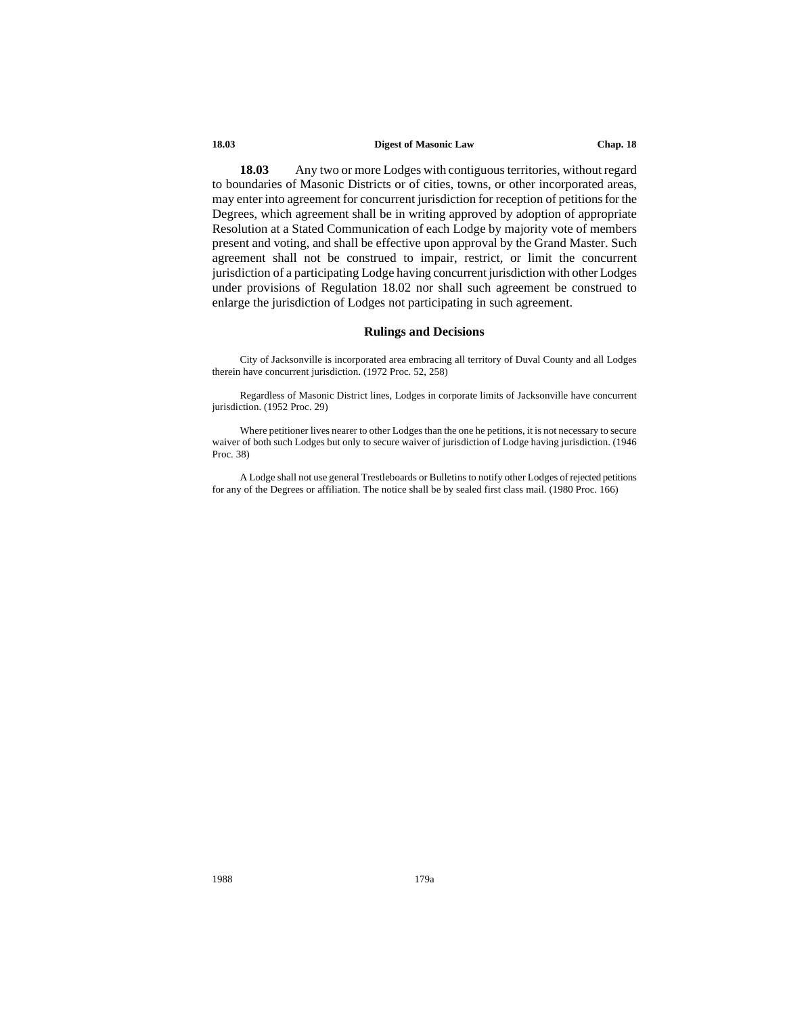## **18.03 Digest of Masonic Law Chap. 18**

**18.03** Any two or more Lodges with contiguous territories, without regard to boundaries of Masonic Districts or of cities, towns, or other incorporated areas, may enter into agreement for concurrent jurisdiction for reception of petitions for the Degrees, which agreement shall be in writing approved by adoption of appropriate Resolution at a Stated Communication of each Lodge by majority vote of members present and voting, and shall be effective upon approval by the Grand Master. Such agreement shall not be construed to impair, restrict, or limit the concurrent jurisdiction of a participating Lodge having concurrent jurisdiction with other Lodges under provisions of Regulation 18.02 nor shall such agreement be construed to enlarge the jurisdiction of Lodges not participating in such agreement.

# **Rulings and Decisions**

City of Jacksonville is incorporated area embracing all territory of Duval County and all Lodges therein have concurrent jurisdiction. (1972 Proc. 52, 258)

Regardless of Masonic District lines, Lodges in corporate limits of Jacksonville have concurrent jurisdiction. (1952 Proc. 29)

Where petitioner lives nearer to other Lodges than the one he petitions, it is not necessary to secure waiver of both such Lodges but only to secure waiver of jurisdiction of Lodge having jurisdiction. (1946 Proc. 38)

A Lodge shall not use general Trestleboards or Bulletins to notify other Lodges of rejected petitions for any of the Degrees or affiliation. The notice shall be by sealed first class mail. (1980 Proc. 166)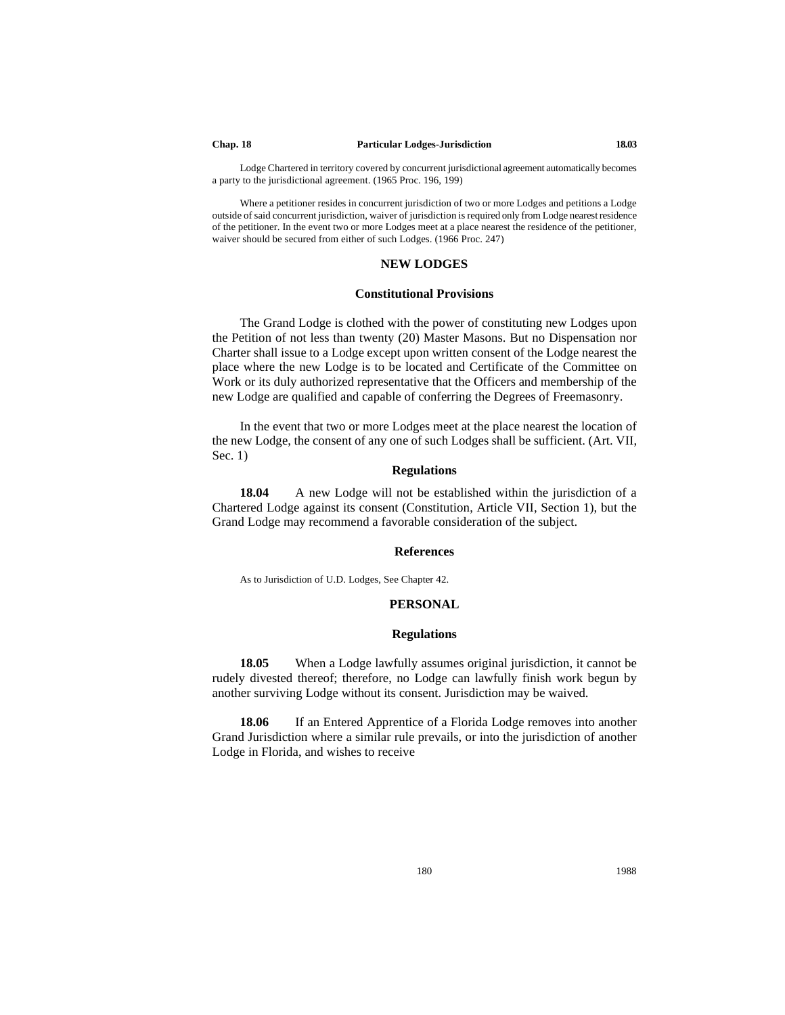#### **Chap. 18 Particular Lodges-Jurisdiction 18.03**

Lodge Chartered in territory covered by concurrent jurisdictional agreement automatically becomes a party to the jurisdictional agreement. (1965 Proc. 196, 199)

Where a petitioner resides in concurrent jurisdiction of two or more Lodges and petitions a Lodge outside of said concurrent jurisdiction, waiver of jurisdiction is required only from Lodge nearest residence of the petitioner. In the event two or more Lodges meet at a place nearest the residence of the petitioner, waiver should be secured from either of such Lodges. (1966 Proc. 247)

# **NEW LODGES**

### **Constitutional Provisions**

The Grand Lodge is clothed with the power of constituting new Lodges upon the Petition of not less than twenty (20) Master Masons. But no Dispensation nor Charter shall issue to a Lodge except upon written consent of the Lodge nearest the place where the new Lodge is to be located and Certificate of the Committee on Work or its duly authorized representative that the Officers and membership of the new Lodge are qualified and capable of conferring the Degrees of Freemasonry.

In the event that two or more Lodges meet at the place nearest the location of the new Lodge, the consent of any one of such Lodges shall be sufficient. (Art. VII, Sec. 1)

## **Regulations**

18.04 A new Lodge will not be established within the jurisdiction of a Chartered Lodge against its consent (Constitution, Article VII, Section 1), but the Grand Lodge may recommend a favorable consideration of the subject.

### **References**

As to Jurisdiction of U.D. Lodges, See Chapter 42.

# **PERSONAL**

## **Regulations**

**18.05** When a Lodge lawfully assumes original jurisdiction, it cannot be rudely divested thereof; therefore, no Lodge can lawfully finish work begun by another surviving Lodge without its consent. Jurisdiction may be waived.

**18.06** If an Entered Apprentice of a Florida Lodge removes into another Grand Jurisdiction where a similar rule prevails, or into the jurisdiction of another Lodge in Florida, and wishes to receive

180 1988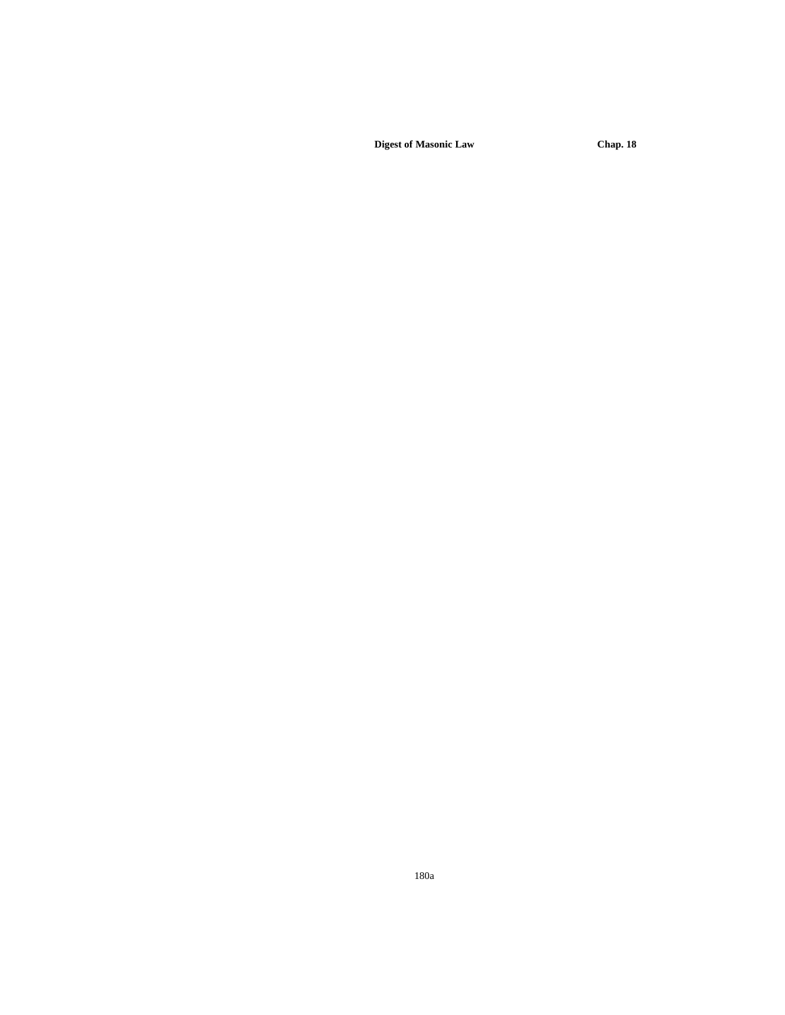**Digest of Masonic Law Chap. 18**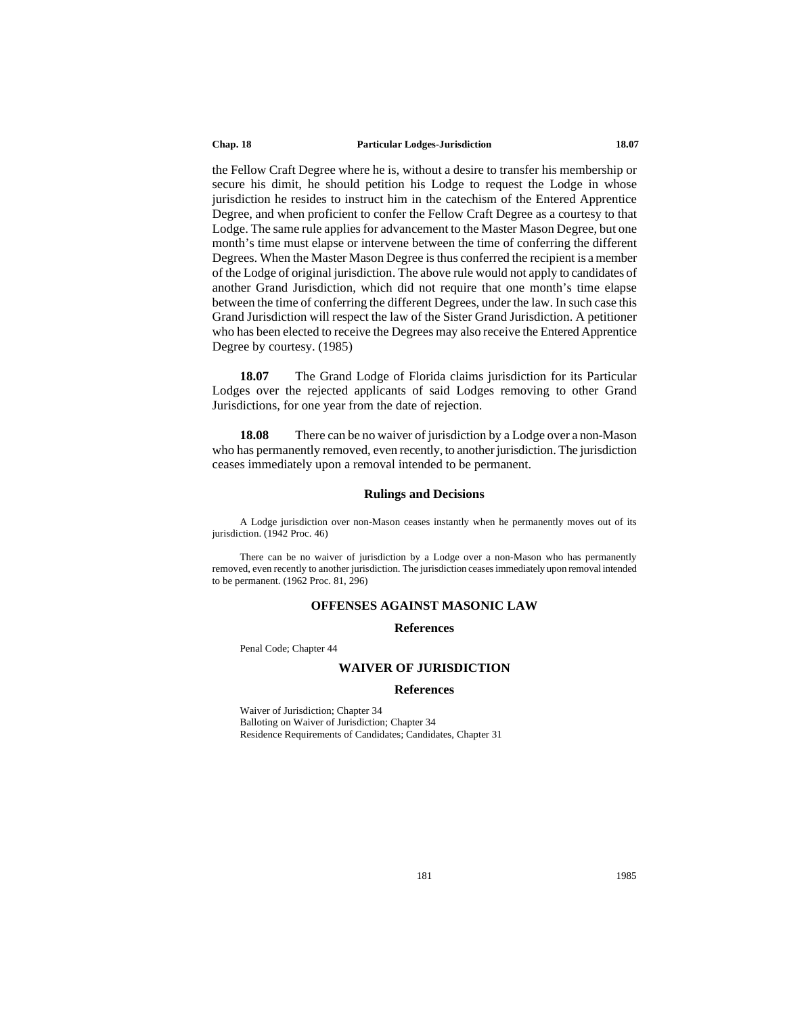#### **Chap. 18 Particular Lodges-Jurisdiction 18.07**

the Fellow Craft Degree where he is, without a desire to transfer his membership or secure his dimit, he should petition his Lodge to request the Lodge in whose jurisdiction he resides to instruct him in the catechism of the Entered Apprentice Degree, and when proficient to confer the Fellow Craft Degree as a courtesy to that Lodge. The same rule applies for advancement to the Master Mason Degree, but one month's time must elapse or intervene between the time of conferring the different Degrees. When the Master Mason Degree is thus conferred the recipient is a member of the Lodge of original jurisdiction. The above rule would not apply to candidates of another Grand Jurisdiction, which did not require that one month's time elapse between the time of conferring the different Degrees, under the law. In such case this Grand Jurisdiction will respect the law of the Sister Grand Jurisdiction. A petitioner who has been elected to receive the Degrees may also receive the Entered Apprentice Degree by courtesy. (1985)

**18.07** The Grand Lodge of Florida claims jurisdiction for its Particular Lodges over the rejected applicants of said Lodges removing to other Grand Jurisdictions, for one year from the date of rejection.

**18.08** There can be no waiver of jurisdiction by a Lodge over a non-Mason who has permanently removed, even recently, to another jurisdiction. The jurisdiction ceases immediately upon a removal intended to be permanent.

# **Rulings and Decisions**

A Lodge jurisdiction over non-Mason ceases instantly when he permanently moves out of its jurisdiction. (1942 Proc. 46)

There can be no waiver of jurisdiction by a Lodge over a non-Mason who has permanently removed, even recently to another jurisdiction. The jurisdiction ceases immediately upon removal intended to be permanent. (1962 Proc. 81, 296)

# **OFFENSES AGAINST MASONIC LAW**

# **References**

Penal Code; Chapter 44

## **WAIVER OF JURISDICTION**

#### **References**

Waiver of Jurisdiction; Chapter 34 Balloting on Waiver of Jurisdiction; Chapter 34 Residence Requirements of Candidates; Candidates, Chapter 31